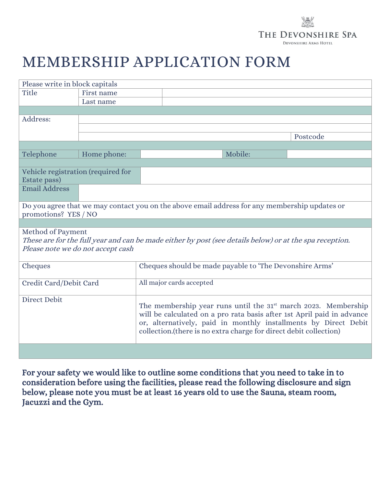## THE DEVONSHIRE SPA **DEVONSHIRE ARMS HOTEL**

## MEMBERSHIP APPLICATION FORM

| Please write in block capitals                                                                          |             |                                                                                                                                      |         |          |  |  |
|---------------------------------------------------------------------------------------------------------|-------------|--------------------------------------------------------------------------------------------------------------------------------------|---------|----------|--|--|
| Title                                                                                                   | First name  |                                                                                                                                      |         |          |  |  |
|                                                                                                         | Last name   |                                                                                                                                      |         |          |  |  |
|                                                                                                         |             |                                                                                                                                      |         |          |  |  |
| Address:                                                                                                |             |                                                                                                                                      |         |          |  |  |
|                                                                                                         |             |                                                                                                                                      |         |          |  |  |
|                                                                                                         |             |                                                                                                                                      |         | Postcode |  |  |
|                                                                                                         |             |                                                                                                                                      |         |          |  |  |
| Telephone                                                                                               | Home phone: |                                                                                                                                      | Mobile: |          |  |  |
|                                                                                                         |             |                                                                                                                                      |         |          |  |  |
| Vehicle registration (required for                                                                      |             |                                                                                                                                      |         |          |  |  |
| Estate pass)                                                                                            |             |                                                                                                                                      |         |          |  |  |
| <b>Email Address</b>                                                                                    |             |                                                                                                                                      |         |          |  |  |
|                                                                                                         |             |                                                                                                                                      |         |          |  |  |
|                                                                                                         |             | Do you agree that we may contact you on the above email address for any membership updates or                                        |         |          |  |  |
| promotions? YES / NO                                                                                    |             |                                                                                                                                      |         |          |  |  |
|                                                                                                         |             |                                                                                                                                      |         |          |  |  |
| Method of Payment                                                                                       |             |                                                                                                                                      |         |          |  |  |
| These are for the full year and can be made either by post (see details below) or at the spa reception. |             |                                                                                                                                      |         |          |  |  |
| Please note we do not accept cash                                                                       |             |                                                                                                                                      |         |          |  |  |
|                                                                                                         |             |                                                                                                                                      |         |          |  |  |
| Cheques                                                                                                 |             | Cheques should be made payable to 'The Devonshire Arms'                                                                              |         |          |  |  |
|                                                                                                         |             |                                                                                                                                      |         |          |  |  |
| Credit Card/Debit Card                                                                                  |             | All major cards accepted                                                                                                             |         |          |  |  |
|                                                                                                         |             |                                                                                                                                      |         |          |  |  |
| <b>Direct Debit</b>                                                                                     |             | The membership year runs until the $31st$ march 2023. Membership                                                                     |         |          |  |  |
|                                                                                                         |             | will be calculated on a pro rata basis after 1st April paid in advance                                                               |         |          |  |  |
|                                                                                                         |             |                                                                                                                                      |         |          |  |  |
|                                                                                                         |             | or, alternatively, paid in monthly installments by Direct Debit<br>collection.(there is no extra charge for direct debit collection) |         |          |  |  |
|                                                                                                         |             |                                                                                                                                      |         |          |  |  |
|                                                                                                         |             |                                                                                                                                      |         |          |  |  |
|                                                                                                         |             |                                                                                                                                      |         |          |  |  |

For your safety we would like to outline some conditions that you need to take in to consideration before using the facilities, please read the following disclosure and sign below, please note you must be at least 16 years old to use the Sauna, steam room, Jacuzzi and the Gym.